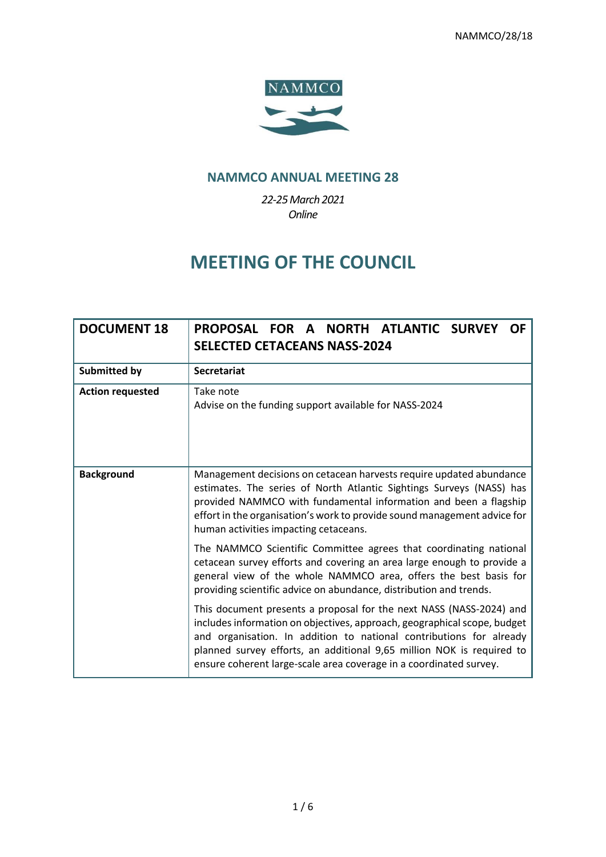

### **NAMMCO ANNUAL MEETING 28**

*22-25March 2021 Online*

## **MEETING OF THE COUNCIL**

| <b>DOCUMENT 18</b>      | PROPOSAL FOR A NORTH ATLANTIC SURVEY<br>OF.<br><b>SELECTED CETACEANS NASS-2024</b>                                                                                                                                                                                                                                                                                    |  |  |
|-------------------------|-----------------------------------------------------------------------------------------------------------------------------------------------------------------------------------------------------------------------------------------------------------------------------------------------------------------------------------------------------------------------|--|--|
| <b>Submitted by</b>     | <b>Secretariat</b>                                                                                                                                                                                                                                                                                                                                                    |  |  |
| <b>Action requested</b> | Take note<br>Advise on the funding support available for NASS-2024                                                                                                                                                                                                                                                                                                    |  |  |
| <b>Background</b>       | Management decisions on cetacean harvests require updated abundance<br>estimates. The series of North Atlantic Sightings Surveys (NASS) has<br>provided NAMMCO with fundamental information and been a flagship<br>effort in the organisation's work to provide sound management advice for<br>human activities impacting cetaceans.                                  |  |  |
|                         | The NAMMCO Scientific Committee agrees that coordinating national<br>cetacean survey efforts and covering an area large enough to provide a<br>general view of the whole NAMMCO area, offers the best basis for<br>providing scientific advice on abundance, distribution and trends.                                                                                 |  |  |
|                         | This document presents a proposal for the next NASS (NASS-2024) and<br>includes information on objectives, approach, geographical scope, budget<br>and organisation. In addition to national contributions for already<br>planned survey efforts, an additional 9,65 million NOK is required to<br>ensure coherent large-scale area coverage in a coordinated survey. |  |  |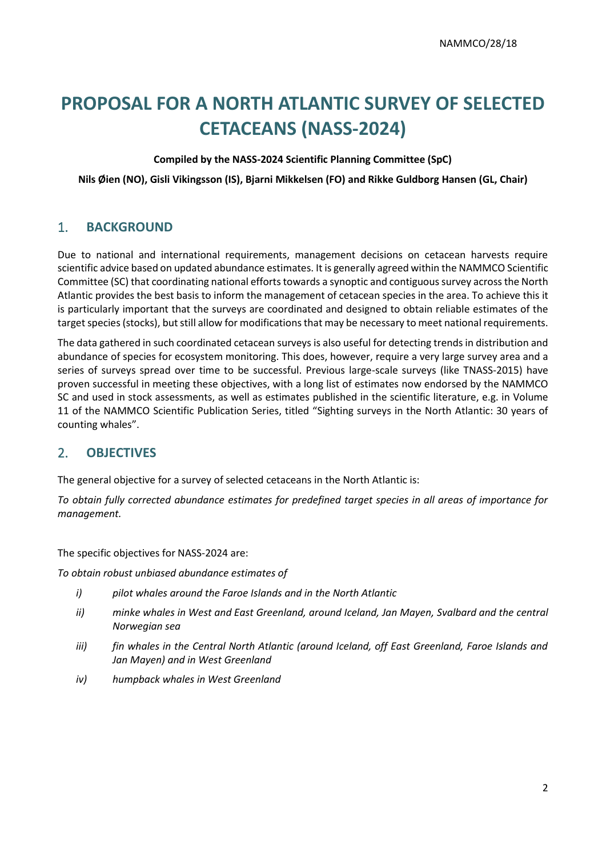# **PROPOSAL FOR A NORTH ATLANTIC SURVEY OF SELECTED CETACEANS (NASS-2024)**

#### **Compiled by the NASS-2024 Scientific Planning Committee (SpC)**

**Nils Øien (NO), Gisli Vikingsson (IS), Bjarni Mikkelsen (FO) and Rikke Guldborg Hansen (GL, Chair)**

#### 1. **BACKGROUND**

Due to national and international requirements, management decisions on cetacean harvests require scientific advice based on updated abundance estimates. It is generally agreed within the NAMMCO Scientific Committee (SC) that coordinating national efforts towards a synoptic and contiguous survey across the North Atlantic provides the best basis to inform the management of cetacean species in the area. To achieve this it is particularly important that the surveys are coordinated and designed to obtain reliable estimates of the target species (stocks), but still allow for modificationsthat may be necessary to meet national requirements.

The data gathered in such coordinated cetacean surveys is also useful for detecting trends in distribution and abundance of species for ecosystem monitoring. This does, however, require a very large survey area and a series of surveys spread over time to be successful. Previous large-scale surveys (like TNASS-2015) have proven successful in meeting these objectives, with a long list of estimates now endorsed by the NAMMCO SC and used in stock assessments, as well as estimates published in the scientific literature, e.g. in Volume 11 of the NAMMCO Scientific Publication Series, titled "Sighting surveys in the North Atlantic: 30 years of counting whales".

#### 2. **OBJECTIVES**

The general objective for a survey of selected cetaceans in the North Atlantic is:

*To obtain fully corrected abundance estimates for predefined target species in all areas of importance for management.* 

The specific objectives for NASS-2024 are:

*To obtain robust unbiased abundance estimates of* 

- *i) pilot whales around the Faroe Islands and in the North Atlantic*
- *ii) minke whales in West and East Greenland, around Iceland, Jan Mayen, Svalbard and the central Norwegian sea*
- *iii) fin whales in the Central North Atlantic (around Iceland, off East Greenland, Faroe Islands and Jan Mayen) and in West Greenland*
- *iv) humpback whales in West Greenland*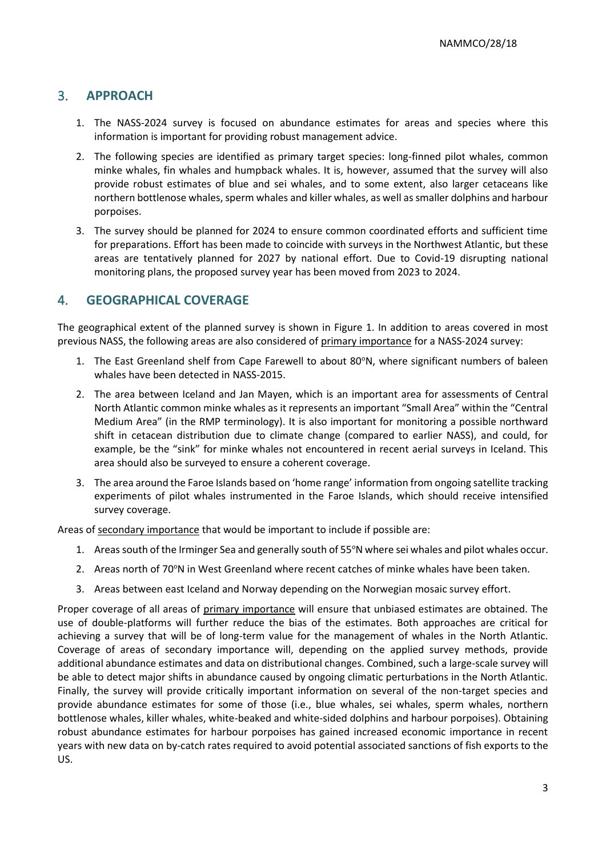#### 3. **APPROACH**

- 1. The NASS-2024 survey is focused on abundance estimates for areas and species where this information is important for providing robust management advice.
- 2. The following species are identified as primary target species: long-finned pilot whales, common minke whales, fin whales and humpback whales. It is, however, assumed that the survey will also provide robust estimates of blue and sei whales, and to some extent, also larger cetaceans like northern bottlenose whales, sperm whales and killer whales, as well as smaller dolphins and harbour porpoises.
- 3. The survey should be planned for 2024 to ensure common coordinated efforts and sufficient time for preparations. Effort has been made to coincide with surveys in the Northwest Atlantic, but these areas are tentatively planned for 2027 by national effort. Due to Covid-19 disrupting national monitoring plans, the proposed survey year has been moved from 2023 to 2024.

#### 4. **GEOGRAPHICAL COVERAGE**

The geographical extent of the planned survey is shown in Figure 1. In addition to areas covered in most previous NASS, the following areas are also considered of primary importance for a NASS-2024 survey:

- 1. The East Greenland shelf from Cape Farewell to about 80°N, where significant numbers of baleen whales have been detected in NASS-2015.
- 2. The area between Iceland and Jan Mayen, which is an important area for assessments of Central North Atlantic common minke whales as it represents an important "Small Area" within the "Central Medium Area" (in the RMP terminology). It is also important for monitoring a possible northward shift in cetacean distribution due to climate change (compared to earlier NASS), and could, for example, be the "sink" for minke whales not encountered in recent aerial surveys in Iceland. This area should also be surveyed to ensure a coherent coverage.
- 3. The area around the Faroe Islands based on 'home range' information from ongoing satellite tracking experiments of pilot whales instrumented in the Faroe Islands, which should receive intensified survey coverage.

Areas of secondary importance that would be important to include if possible are:

- 1. Areas south of the Irminger Sea and generally south of 55°N where sei whales and pilot whales occur.
- 2. Areas north of 70°N in West Greenland where recent catches of minke whales have been taken.
- 3. Areas between east Iceland and Norway depending on the Norwegian mosaic survey effort.

Proper coverage of all areas of primary importance will ensure that unbiased estimates are obtained. The use of double-platforms will further reduce the bias of the estimates. Both approaches are critical for achieving a survey that will be of long-term value for the management of whales in the North Atlantic. Coverage of areas of secondary importance will, depending on the applied survey methods, provide additional abundance estimates and data on distributional changes. Combined, such a large-scale survey will be able to detect major shifts in abundance caused by ongoing climatic perturbations in the North Atlantic. Finally, the survey will provide critically important information on several of the non-target species and provide abundance estimates for some of those (i.e., blue whales, sei whales, sperm whales, northern bottlenose whales, killer whales, white-beaked and white-sided dolphins and harbour porpoises). Obtaining robust abundance estimates for harbour porpoises has gained increased economic importance in recent years with new data on by-catch rates required to avoid potential associated sanctions of fish exports to the US.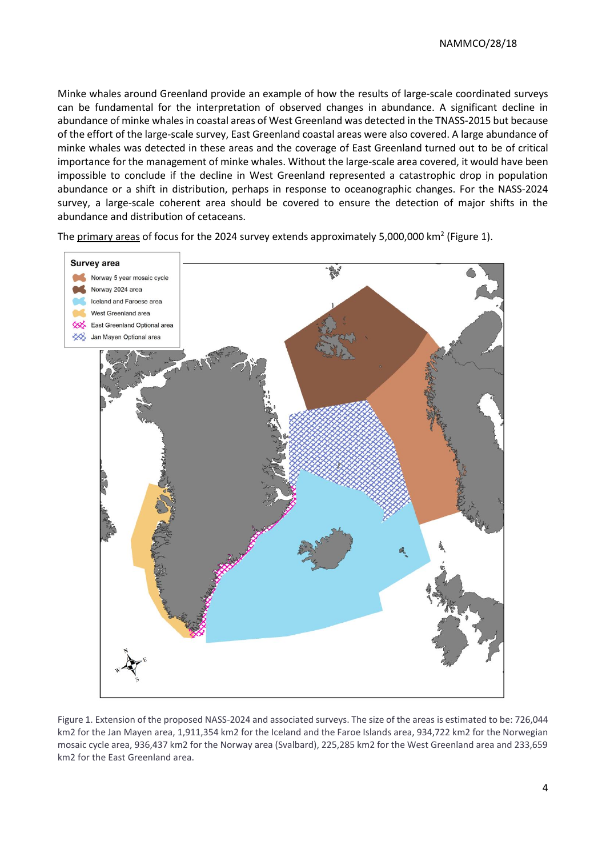Minke whales around Greenland provide an example of how the results of large-scale coordinated surveys can be fundamental for the interpretation of observed changes in abundance. A significant decline in abundance of minke whales in coastal areas of West Greenland was detected in the TNASS-2015 but because of the effort of the large-scale survey, East Greenland coastal areas were also covered. A large abundance of minke whales was detected in these areas and the coverage of East Greenland turned out to be of critical importance for the management of minke whales. Without the large-scale area covered, it would have been impossible to conclude if the decline in West Greenland represented a catastrophic drop in population abundance or a shift in distribution, perhaps in response to oceanographic changes. For the NASS-2024 survey, a large-scale coherent area should be covered to ensure the detection of major shifts in the abundance and distribution of cetaceans.

The primary areas of focus for the 2024 survey extends approximately 5,000,000 km<sup>2</sup> (Figure 1).



Figure 1. Extension of the proposed NASS-2024 and associated surveys. The size of the areas is estimated to be: 726,044 km2 for the Jan Mayen area, 1,911,354 km2 for the Iceland and the Faroe Islands area, 934,722 km2 for the Norwegian mosaic cycle area, 936,437 km2 for the Norway area (Svalbard), 225,285 km2 for the West Greenland area and 233,659 km2 for the East Greenland area.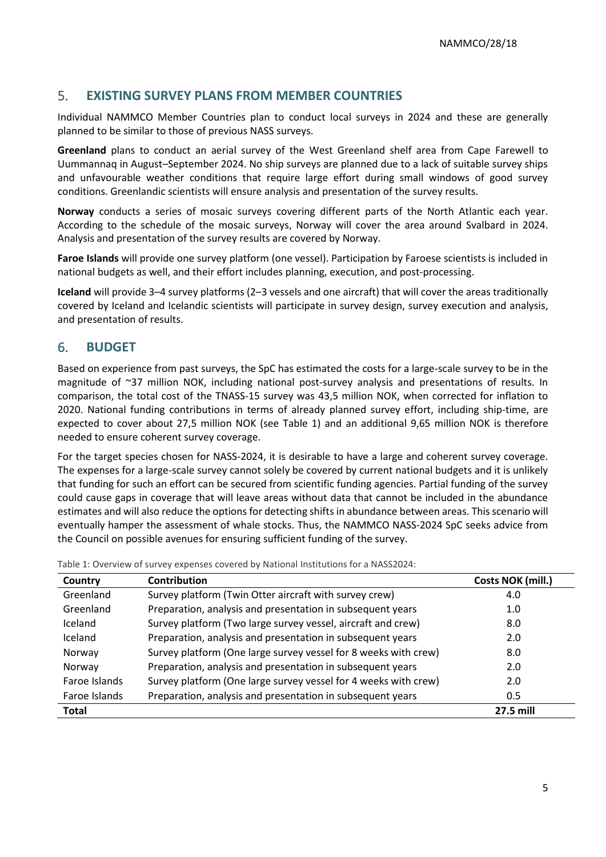#### 5. **EXISTING SURVEY PLANS FROM MEMBER COUNTRIES**

Individual NAMMCO Member Countries plan to conduct local surveys in 2024 and these are generally planned to be similar to those of previous NASS surveys.

**Greenland** plans to conduct an aerial survey of the West Greenland shelf area from Cape Farewell to Uummannaq in August–September 2024. No ship surveys are planned due to a lack of suitable survey ships and unfavourable weather conditions that require large effort during small windows of good survey conditions. Greenlandic scientists will ensure analysis and presentation of the survey results.

**Norway** conducts a series of mosaic surveys covering different parts of the North Atlantic each year. According to the schedule of the mosaic surveys, Norway will cover the area around Svalbard in 2024. Analysis and presentation of the survey results are covered by Norway.

**Faroe Islands** will provide one survey platform (one vessel). Participation by Faroese scientists is included in national budgets as well, and their effort includes planning, execution, and post-processing.

**Iceland** will provide 3–4 survey platforms (2–3 vessels and one aircraft) that will cover the areas traditionally covered by Iceland and Icelandic scientists will participate in survey design, survey execution and analysis, and presentation of results.

#### 6. **BUDGET**

Based on experience from past surveys, the SpC has estimated the costs for a large-scale survey to be in the magnitude of ~37 million NOK, including national post-survey analysis and presentations of results. In comparison, the total cost of the TNASS-15 survey was 43,5 million NOK, when corrected for inflation to 2020. National funding contributions in terms of already planned survey effort, including ship-time, are expected to cover about 27,5 million NOK (see Table 1) and an additional 9,65 million NOK is therefore needed to ensure coherent survey coverage.

For the target species chosen for NASS-2024, it is desirable to have a large and coherent survey coverage. The expenses for a large-scale survey cannot solely be covered by current national budgets and it is unlikely that funding for such an effort can be secured from scientific funding agencies. Partial funding of the survey could cause gaps in coverage that will leave areas without data that cannot be included in the abundance estimates and will also reduce the options for detecting shifts in abundance between areas. This scenario will eventually hamper the assessment of whale stocks. Thus, the NAMMCO NASS-2024 SpC seeks advice from the Council on possible avenues for ensuring sufficient funding of the survey.

| Country       | <b>Contribution</b>                                             | Costs NOK (mill.) |
|---------------|-----------------------------------------------------------------|-------------------|
| Greenland     | Survey platform (Twin Otter aircraft with survey crew)          | 4.0               |
| Greenland     | Preparation, analysis and presentation in subsequent years      | 1.0               |
| Iceland       | Survey platform (Two large survey vessel, aircraft and crew)    | 8.0               |
| Iceland       | Preparation, analysis and presentation in subsequent years      | 2.0               |
| Norway        | Survey platform (One large survey vessel for 8 weeks with crew) | 8.0               |
| Norway        | Preparation, analysis and presentation in subsequent years      | 2.0               |
| Faroe Islands | Survey platform (One large survey vessel for 4 weeks with crew) | 2.0               |
| Faroe Islands | Preparation, analysis and presentation in subsequent years      | 0.5               |
| <b>Total</b>  |                                                                 | 27.5 mill         |

Table 1: Overview of survey expenses covered by National Institutions for a NASS2024: